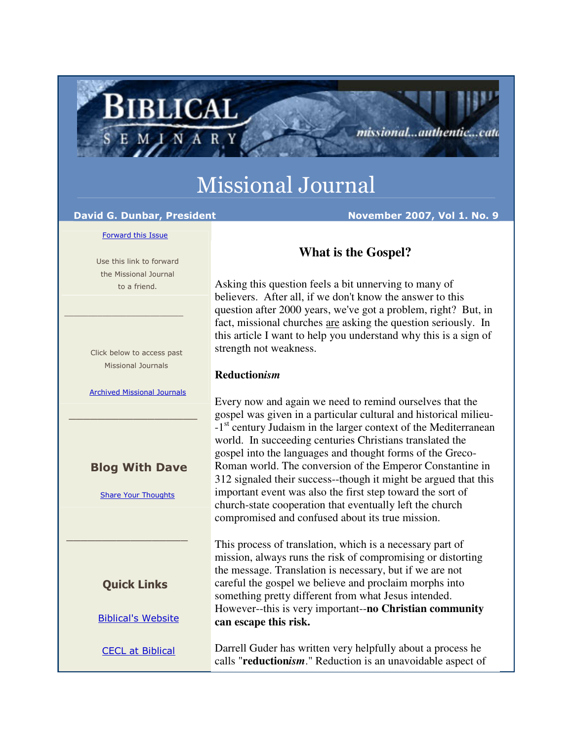# Missional Journal

BIBLICAL

MINAR

David G. Dunbar, President November 2007, Vol 1. No. 9

missional...authentic...cata

#### Forward this Issue

 Use this link to forward the Missional Journal to a friend.

 $\frac{1}{2}$  , and the set of the set of the set of the set of the set of the set of the set of the set of the set of the set of the set of the set of the set of the set of the set of the set of the set of the set of the set

 Click below to access past Missional Journals

Archived Missional Journals

\_\_\_\_\_\_\_\_\_\_\_\_\_\_\_\_\_\_

### Blog With Dave

Share Your Thoughts

Quick Links

\_\_\_\_\_\_\_\_\_\_\_\_\_\_\_\_\_

Biblical's Website

CECL at Biblical

## **What is the Gospel?**

Asking this question feels a bit unnerving to many of believers. After all, if we don't know the answer to this question after 2000 years, we've got a problem, right? But, in fact, missional churches are asking the question seriously. In this article I want to help you understand why this is a sign of strength not weakness.

#### **Reduction***ism*

Every now and again we need to remind ourselves that the gospel was given in a particular cultural and historical milieu- -1<sup>st</sup> century Judaism in the larger context of the Mediterranean world. In succeeding centuries Christians translated the gospel into the languages and thought forms of the Greco-Roman world. The conversion of the Emperor Constantine in 312 signaled their success--though it might be argued that this important event was also the first step toward the sort of church-state cooperation that eventually left the church compromised and confused about its true mission.

This process of translation, which is a necessary part of mission, always runs the risk of compromising or distorting the message. Translation is necessary, but if we are not careful the gospel we believe and proclaim morphs into something pretty different from what Jesus intended. However--this is very important--**no Christian community can escape this risk.**

Darrell Guder has written very helpfully about a process he calls "**reduction***ism*." Reduction is an unavoidable aspect of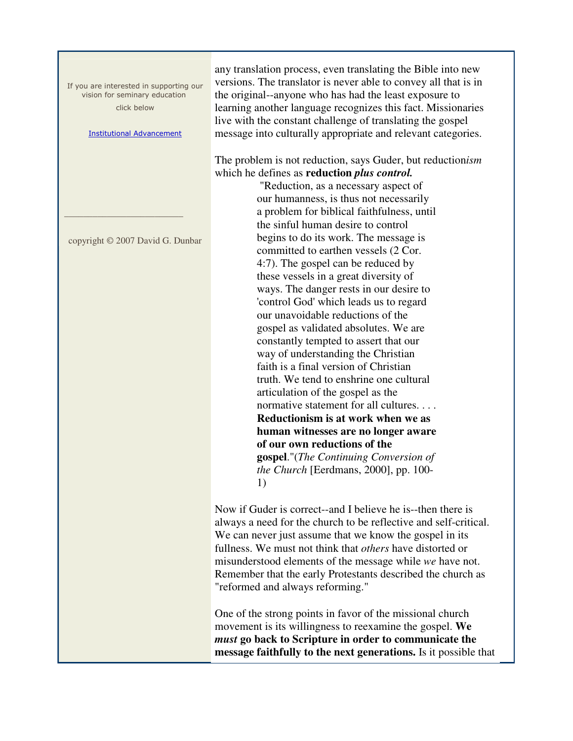If you are interested in supporting our vision for seminary education click below

Institutional Advancement

copyright © 2007 David G. Dunbar

 $\frac{1}{2}$  ,  $\frac{1}{2}$  ,  $\frac{1}{2}$  ,  $\frac{1}{2}$  ,  $\frac{1}{2}$  ,  $\frac{1}{2}$  ,  $\frac{1}{2}$  ,  $\frac{1}{2}$  ,  $\frac{1}{2}$  ,  $\frac{1}{2}$  ,  $\frac{1}{2}$  ,  $\frac{1}{2}$  ,  $\frac{1}{2}$  ,  $\frac{1}{2}$  ,  $\frac{1}{2}$  ,  $\frac{1}{2}$  ,  $\frac{1}{2}$  ,  $\frac{1}{2}$  ,  $\frac{1$ 

any translation process, even translating the Bible into new versions. The translator is never able to convey all that is in the original--anyone who has had the least exposure to learning another language recognizes this fact. Missionaries live with the constant challenge of translating the gospel message into culturally appropriate and relevant categories.

The problem is not reduction, says Guder, but reduction*ism* which he defines as **reduction** *plus control.*

> "Reduction, as a necessary aspect of our humanness, is thus not necessarily a problem for biblical faithfulness, until the sinful human desire to control begins to do its work. The message is committed to earthen vessels (2 Cor. 4:7). The gospel can be reduced by these vessels in a great diversity of ways. The danger rests in our desire to 'control God' which leads us to regard our unavoidable reductions of the gospel as validated absolutes. We are constantly tempted to assert that our way of understanding the Christian faith is a final version of Christian truth. We tend to enshrine one cultural articulation of the gospel as the normative statement for all cultures. . . . **Reductionism is at work when we as human witnesses are no longer aware of our own reductions of the gospel**."(*The Continuing Conversion of the Church* [Eerdmans, 2000], pp. 100- 1)

Now if Guder is correct--and I believe he is--then there is always a need for the church to be reflective and self-critical. We can never just assume that we know the gospel in its fullness. We must not think that *others* have distorted or misunderstood elements of the message while *we* have not. Remember that the early Protestants described the church as "reformed and always reforming."

One of the strong points in favor of the missional church movement is its willingness to reexamine the gospel. **We**  *must* **go back to Scripture in order to communicate the message faithfully to the next generations.** Is it possible that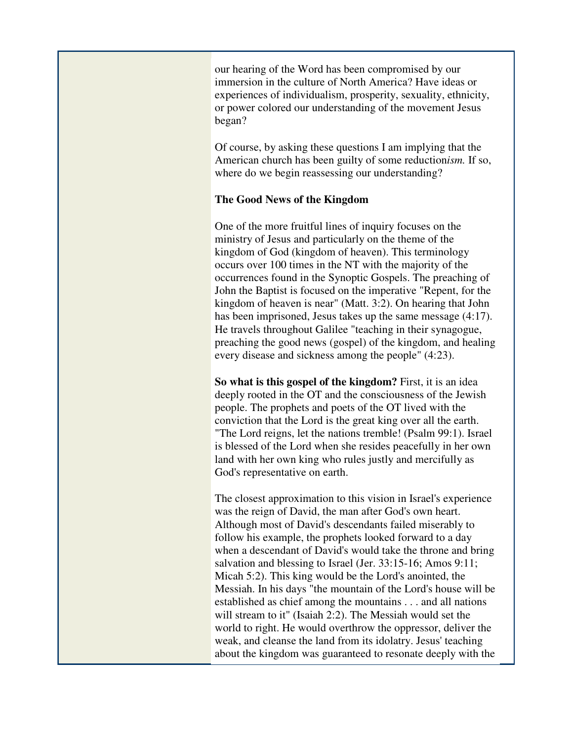our hearing of the Word has been compromised by our immersion in the culture of North America? Have ideas or experiences of individualism, prosperity, sexuality, ethnicity, or power colored our understanding of the movement Jesus began?

Of course, by asking these questions I am implying that the American church has been guilty of some reduction*ism.* If so, where do we begin reassessing our understanding?

#### **The Good News of the Kingdom**

One of the more fruitful lines of inquiry focuses on the ministry of Jesus and particularly on the theme of the kingdom of God (kingdom of heaven). This terminology occurs over 100 times in the NT with the majority of the occurrences found in the Synoptic Gospels. The preaching of John the Baptist is focused on the imperative "Repent, for the kingdom of heaven is near" (Matt. 3:2). On hearing that John has been imprisoned, Jesus takes up the same message (4:17). He travels throughout Galilee "teaching in their synagogue, preaching the good news (gospel) of the kingdom, and healing every disease and sickness among the people" (4:23).

**So what is this gospel of the kingdom?** First, it is an idea deeply rooted in the OT and the consciousness of the Jewish people. The prophets and poets of the OT lived with the conviction that the Lord is the great king over all the earth. "The Lord reigns, let the nations tremble! (Psalm 99:1). Israel is blessed of the Lord when she resides peacefully in her own land with her own king who rules justly and mercifully as God's representative on earth.

The closest approximation to this vision in Israel's experience was the reign of David, the man after God's own heart. Although most of David's descendants failed miserably to follow his example, the prophets looked forward to a day when a descendant of David's would take the throne and bring salvation and blessing to Israel (Jer. 33:15-16; Amos 9:11; Micah 5:2). This king would be the Lord's anointed, the Messiah. In his days "the mountain of the Lord's house will be established as chief among the mountains . . . and all nations will stream to it" (Isaiah 2:2). The Messiah would set the world to right. He would overthrow the oppressor, deliver the weak, and cleanse the land from its idolatry. Jesus' teaching about the kingdom was guaranteed to resonate deeply with the